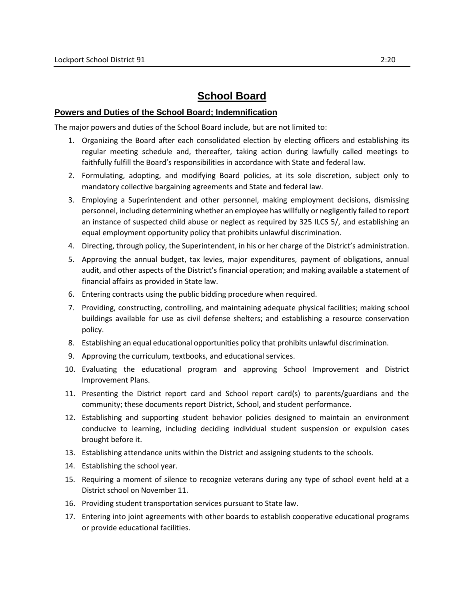## **School Board**

## **Powers and Duties of the School Board; Indemnification**

The major powers and duties of the School Board include, but are not limited to:

- 1. Organizing the Board after each consolidated election by electing officers and establishing its regular meeting schedule and, thereafter, taking action during lawfully called meetings to faithfully fulfill the Board's responsibilities in accordance with State and federal law.
- 2. Formulating, adopting, and modifying Board policies, at its sole discretion, subject only to mandatory collective bargaining agreements and State and federal law.
- 3. Employing a Superintendent and other personnel, making employment decisions, dismissing personnel, including determining whether an employee has willfully or negligently failed to report an instance of suspected child abuse or neglect as required by 325 ILCS 5/, and establishing an equal employment opportunity policy that prohibits unlawful discrimination.
- 4. Directing, through policy, the Superintendent, in his or her charge of the District's administration.
- 5. Approving the annual budget, tax levies, major expenditures, payment of obligations, annual audit, and other aspects of the District's financial operation; and making available a statement of financial affairs as provided in State law.
- 6. Entering contracts using the public bidding procedure when required.
- 7. Providing, constructing, controlling, and maintaining adequate physical facilities; making school buildings available for use as civil defense shelters; and establishing a resource conservation policy.
- 8. Establishing an equal educational opportunities policy that prohibits unlawful discrimination.
- 9. Approving the curriculum, textbooks, and educational services.
- 10. Evaluating the educational program and approving School Improvement and District Improvement Plans.
- 11. Presenting the District report card and School report card(s) to parents/guardians and the community; these documents report District, School, and student performance.
- 12. Establishing and supporting student behavior policies designed to maintain an environment conducive to learning, including deciding individual student suspension or expulsion cases brought before it.
- 13. Establishing attendance units within the District and assigning students to the schools.
- 14. Establishing the school year.
- 15. Requiring a moment of silence to recognize veterans during any type of school event held at a District school on November 11.
- 16. Providing student transportation services pursuant to State law.
- 17. Entering into joint agreements with other boards to establish cooperative educational programs or provide educational facilities.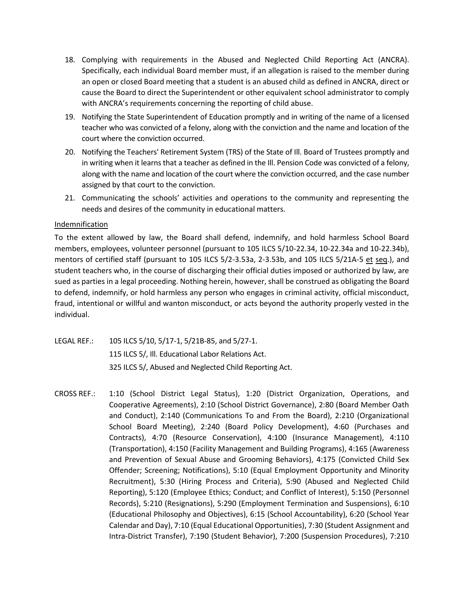- 18. Complying with requirements in the Abused and Neglected Child Reporting Act (ANCRA). Specifically, each individual Board member must, if an allegation is raised to the member during an open or closed Board meeting that a student is an abused child as defined in ANCRA, direct or cause the Board to direct the Superintendent or other equivalent school administrator to comply with ANCRA's requirements concerning the reporting of child abuse.
- 19. Notifying the State Superintendent of Education promptly and in writing of the name of a licensed teacher who was convicted of a felony, along with the conviction and the name and location of the court where the conviction occurred.
- 20. Notifying the Teachers' Retirement System (TRS) of the State of Ill. Board of Trustees promptly and in writing when it learns that a teacher as defined in the Ill. Pension Code was convicted of a felony, along with the name and location of the court where the conviction occurred, and the case number assigned by that court to the conviction.
- 21. Communicating the schools' activities and operations to the community and representing the needs and desires of the community in educational matters.

## **Indemnification**

To the extent allowed by law, the Board shall defend, indemnify, and hold harmless School Board members, employees, volunteer personnel (pursuant to 105 ILCS 5/10-22.34, 10-22.34a and 10-22.34b), mentors of certified staff (pursuant to 105 ILCS 5/2-3.53a, 2-3.53b, and 105 ILCS 5/21A-5 et seq.), and student teachers who, in the course of discharging their official duties imposed or authorized by law, are sued as parties in a legal proceeding. Nothing herein, however, shall be construed as obligating the Board to defend, indemnify, or hold harmless any person who engages in criminal activity, official misconduct, fraud, intentional or willful and wanton misconduct, or acts beyond the authority properly vested in the individual.

- LEGAL REF.: 105 ILCS 5/10, 5/17-1, 5/21B-85, and 5/27-1. 115 ILCS 5/, Ill. Educational Labor Relations Act. 325 ILCS 5/, Abused and Neglected Child Reporting Act.
- CROSS REF.: 1:10 (School District Legal Status), 1:20 (District Organization, Operations, and Cooperative Agreements), 2:10 (School District Governance), 2:80 (Board Member Oath and Conduct), 2:140 (Communications To and From the Board), 2:210 (Organizational School Board Meeting), 2:240 (Board Policy Development), 4:60 (Purchases and Contracts), 4:70 (Resource Conservation), 4:100 (Insurance Management), 4:110 (Transportation), 4:150 (Facility Management and Building Programs), 4:165 (Awareness and Prevention of Sexual Abuse and Grooming Behaviors), 4:175 (Convicted Child Sex Offender; Screening; Notifications), 5:10 (Equal Employment Opportunity and Minority Recruitment), 5:30 (Hiring Process and Criteria), 5:90 (Abused and Neglected Child Reporting), 5:120 (Employee Ethics; Conduct; and Conflict of Interest), 5:150 (Personnel Records), 5:210 (Resignations), 5:290 (Employment Termination and Suspensions), 6:10 (Educational Philosophy and Objectives), 6:15 (School Accountability), 6:20 (School Year Calendar and Day), 7:10 (Equal Educational Opportunities), 7:30 (Student Assignment and Intra-District Transfer), 7:190 (Student Behavior), 7:200 (Suspension Procedures), 7:210